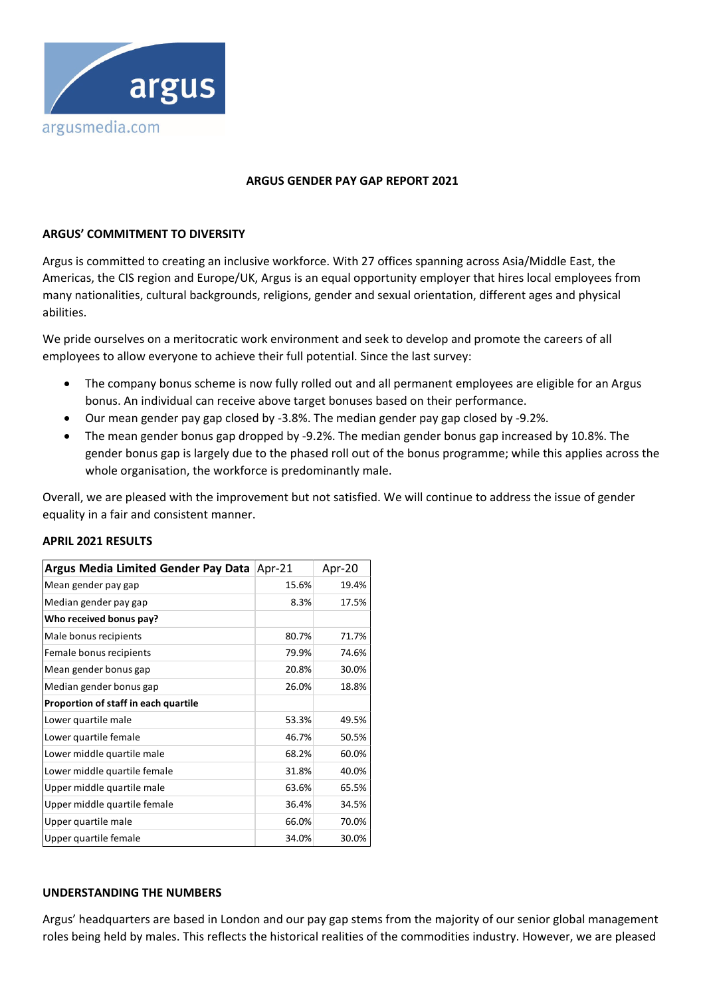

#### **ARGUS GENDER PAY GAP REPORT 2021**

### **ARGUS' COMMITMENT TO DIVERSITY**

Argus is committed to creating an inclusive workforce. With 27 offices spanning across Asia/Middle East, the Americas, the CIS region and Europe/UK, Argus is an equal opportunity employer that hires local employees from many nationalities, cultural backgrounds, religions, gender and sexual orientation, different ages and physical abilities.

We pride ourselves on a meritocratic work environment and seek to develop and promote the careers of all employees to allow everyone to achieve their full potential. Since the last survey:

- The company bonus scheme is now fully rolled out and all permanent employees are eligible for an Argus bonus. An individual can receive above target bonuses based on their performance.
- Our mean gender pay gap closed by ‐3.8%. The median gender pay gap closed by ‐9.2%.
- The mean gender bonus gap dropped by ‐9.2%. The median gender bonus gap increased by 10.8%. The gender bonus gap is largely due to the phased roll out of the bonus programme; while this applies across the whole organisation, the workforce is predominantly male.

Overall, we are pleased with the improvement but not satisfied. We will continue to address the issue of gender equality in a fair and consistent manner.

| <b>Argus Media Limited Gender Pay Data</b> | Apr-21 | Apr-20 |
|--------------------------------------------|--------|--------|
| Mean gender pay gap                        | 15.6%  | 19.4%  |
| Median gender pay gap                      | 8.3%   | 17.5%  |
| Who received bonus pay?                    |        |        |
| Male bonus recipients                      | 80.7%  | 71.7%  |
| Female bonus recipients                    | 79.9%  | 74.6%  |
| Mean gender bonus gap                      | 20.8%  | 30.0%  |
| Median gender bonus gap                    | 26.0%  | 18.8%  |
| Proportion of staff in each quartile       |        |        |
| Lower quartile male                        | 53.3%  | 49.5%  |
| Lower quartile female                      | 46.7%  | 50.5%  |
| Lower middle quartile male                 | 68.2%  | 60.0%  |
| Lower middle quartile female               | 31.8%  | 40.0%  |
| Upper middle quartile male                 | 63.6%  | 65.5%  |
| Upper middle quartile female               | 36.4%  | 34.5%  |
| Upper quartile male                        | 66.0%  | 70.0%  |
| Upper quartile female                      | 34.0%  | 30.0%  |

# **APRIL 2021 RESULTS**

### **UNDERSTANDING THE NUMBERS**

Argus' headquarters are based in London and our pay gap stems from the majority of our senior global management roles being held by males. This reflects the historical realities of the commodities industry. However, we are pleased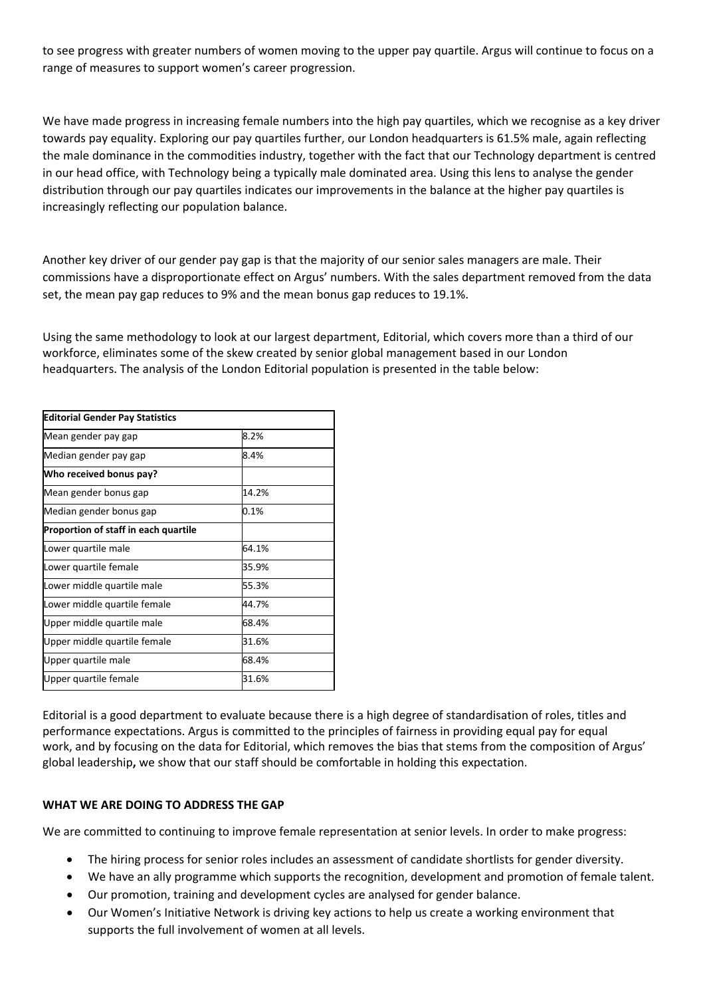to see progress with greater numbers of women moving to the upper pay quartile. Argus will continue to focus on a range of measures to support women's career progression.

We have made progress in increasing female numbers into the high pay quartiles, which we recognise as a key driver towards pay equality. Exploring our pay quartiles further, our London headquarters is 61.5% male, again reflecting the male dominance in the commodities industry, together with the fact that our Technology department is centred in our head office, with Technology being a typically male dominated area. Using this lens to analyse the gender distribution through our pay quartiles indicates our improvements in the balance at the higher pay quartiles is increasingly reflecting our population balance.

Another key driver of our gender pay gap is that the majority of our senior sales managers are male. Their commissions have a disproportionate effect on Argus' numbers. With the sales department removed from the data set, the mean pay gap reduces to 9% and the mean bonus gap reduces to 19.1%.

Using the same methodology to look at our largest department, Editorial, which covers more than a third of our workforce, eliminates some of the skew created by senior global management based in our London headquarters. The analysis of the London Editorial population is presented in the table below:

| <b>Editorial Gender Pay Statistics</b> |         |  |
|----------------------------------------|---------|--|
| Mean gender pay gap                    | 8.2%    |  |
| Median gender pay gap                  | 8.4%    |  |
| Who received bonus pay?                |         |  |
| Mean gender bonus gap                  | 14.2%   |  |
| Median gender bonus gap                | $0.1\%$ |  |
| Proportion of staff in each quartile   |         |  |
| Lower quartile male                    | 64.1%   |  |
| Lower quartile female                  | 35.9%   |  |
| Lower middle quartile male             | 55.3%   |  |
| Lower middle quartile female           | 44.7%   |  |
| Upper middle quartile male             | 68.4%   |  |
| Upper middle quartile female           | 31.6%   |  |
| Upper quartile male                    | 68.4%   |  |
| Upper quartile female                  | 31.6%   |  |
|                                        |         |  |

Editorial is a good department to evaluate because there is a high degree of standardisation of roles, titles and performance expectations. Argus is committed to the principles of fairness in providing equal pay for equal work, and by focusing on the data for Editorial, which removes the bias that stems from the composition of Argus' global leadership**,** we show that our staff should be comfortable in holding this expectation.

# **WHAT WE ARE DOING TO ADDRESS THE GAP**

We are committed to continuing to improve female representation at senior levels. In order to make progress:

- The hiring process for senior roles includes an assessment of candidate shortlists for gender diversity.
- We have an ally programme which supports the recognition, development and promotion of female talent.
- Our promotion, training and development cycles are analysed for gender balance.
- Our Women's Initiative Network is driving key actions to help us create a working environment that supports the full involvement of women at all levels.